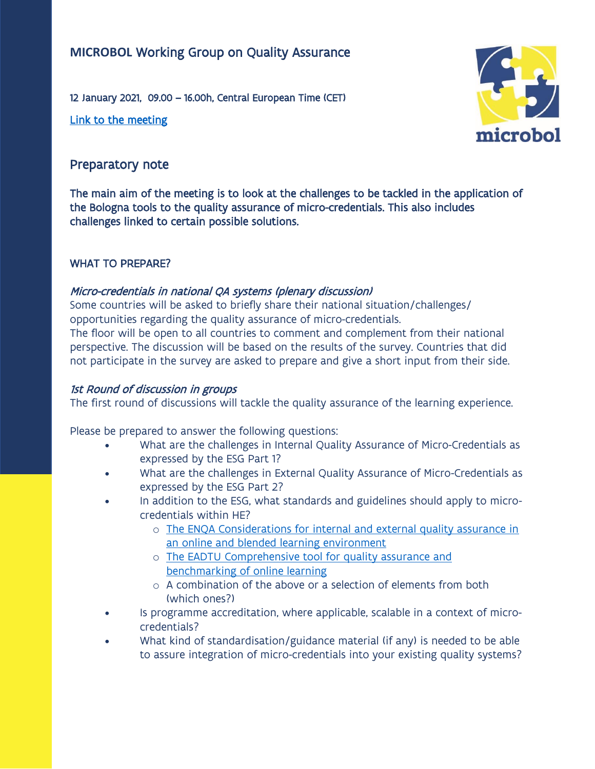# **MICROBOL** Working Group on Quality Assurance

12 January 2021, 09.00 – 16.00h, Central European Time (CET)

[Link to the meeting](https://eur03.safelinks.protection.outlook.com/ap/t-59584e83/?url=https%3A%2F%2Fteams.microsoft.com%2Fl%2Fmeetup-join%2F19%253ameeting_NGY3NTJhNWYtYWRlYy00ZGM5LThlMWItNTMwNjdlNmQ0ZDNm%2540thread.v2%2F0%3Fcontext%3D%257b%2522Tid%2522%253a%25220c0338a6-9561-4ee8-b8d6-4e89cbd520a0%2522%252c%2522Oid%2522%253a%25222c9afd8d-3ab7-4efe-912e-baee79f9f013%2522%257d&data=04%7C01%7Cmagalie.soenen%40ond.vlaanderen.be%7Cc096ab7f74554e1e612608d8b18cba29%7C0c0338a695614ee8b8d64e89cbd520a0%7C0%7C0%7C637454565253794242%7CUnknown%7CTWFpbGZsb3d8eyJWIjoiMC4wLjAwMDAiLCJQIjoiV2luMzIiLCJBTiI6Ik1haWwiLCJXVCI6Mn0%3D%7C1000&sdata=MWZw9bCTqzS7yzQ5tZXKU26BtZlhHxe1EPlno2Xu1I8%3D&reserved=0) 



## Preparatory note

The main aim of the meeting is to look at the challenges to be tackled in the application of the Bologna tools to the quality assurance of micro-credentials. This also includes challenges linked to certain possible solutions.

#### WHAT TO PREPARE?

## Micro-credentials in national QA systems (plenary discussion)

Some countries will be asked to briefly share their national situation/challenges/ opportunities regarding the quality assurance of micro-credentials. The floor will be open to all countries to comment and complement from their national perspective. The discussion will be based on the results of the survey. Countries that did not participate in the survey are asked to prepare and give a short input from their side.

### 1st Round of discussion in groups

The first round of discussions will tackle the quality assurance of the learning experience.

Please be prepared to answer the following questions:

- What are the challenges in Internal Quality Assurance of Micro-Credentials as expressed by the ESG Part 1?
- What are the challenges in External Quality Assurance of Micro-Credentials as expressed by the ESG Part 2?
- In addition to the ESG, what standards and guidelines should apply to microcredentials within HE?
	- o [The ENQA Considerations for internal and external quality assurance in](https://enqa.eu/indirme/papers-and-reports/occasional-papers/Considerations%20for%20QA%20of%20e-learning%20provision.pdf)  [an online and blended learning environment](https://enqa.eu/indirme/papers-and-reports/occasional-papers/Considerations%20for%20QA%20of%20e-learning%20provision.pdf)
	- o [The EADTU Comprehensive tool for quality assurance and](https://e-xcellencelabel.eadtu.eu/)  [benchmarking of online learning](https://e-xcellencelabel.eadtu.eu/)
	- o A combination of the above or a selection of elements from both (which ones?)
- Is programme accreditation, where applicable, scalable in a context of microcredentials?
- What kind of standardisation/guidance material (if any) is needed to be able to assure integration of micro-credentials into your existing quality systems?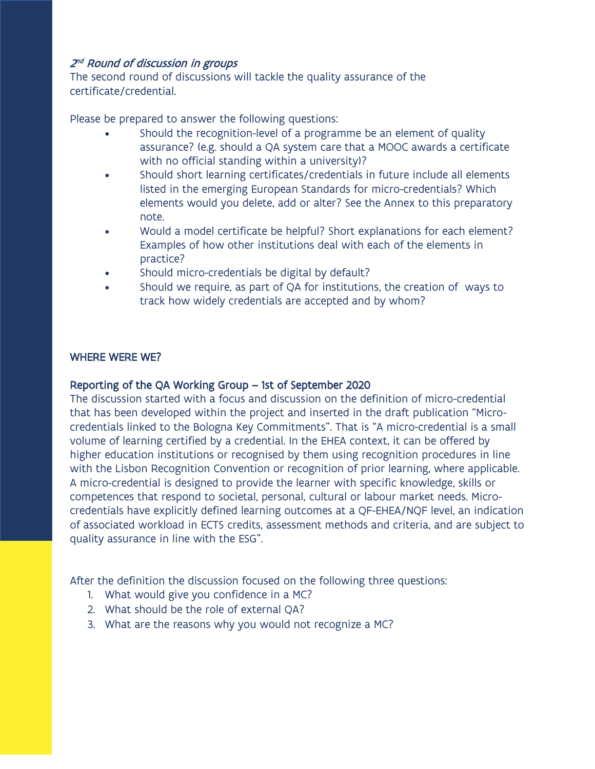#### 2<sup>nd</sup> Round of discussion in groups

The second round of discussions will tackle the quality assurance of the certificate/credential.

Please be prepared to answer the following questions:

- Should the recognition-level of a programme be an element of quality assurance? (e.g. should a QA system care that a MOOC awards a certificate with no official standing within a university)?
- Should short learning certificates/credentials in future include all elements listed in the emerging European Standards for micro-credentials? Which elements would you delete, add or alter? See the Annex to this preparatory note.
- Would a model certificate be helpful? Short explanations for each element? Examples of how other institutions deal with each of the elements in practice?
- Should micro-credentials be digital by default?
- Should we require, as part of QA for institutions, the creation of ways to track how widely credentials are accepted and by whom?

#### WHERE WERE WE?

#### Reporting of the QA Working Group – 1st of September 2020

The discussion started with a focus and discussion on the definition of micro-credential that has been developed within the project and inserted in the draft publication "Microcredentials linked to the Bologna Key Commitments". That is "A micro-credential is a small volume of learning certified by a credential. In the EHEA context, it can be offered by higher education institutions or recognised by them using recognition procedures in line with the Lisbon Recognition Convention or recognition of prior learning, where applicable. A micro-credential is designed to provide the learner with specific knowledge, skills or competences that respond to societal, personal, cultural or labour market needs. Microcredentials have explicitly defined learning outcomes at a QF-EHEA/NQF level, an indication of associated workload in ECTS credits, assessment methods and criteria, and are subject to quality assurance in line with the ESG".

After the definition the discussion focused on the following three questions:

- 1. What would give you confidence in a MC?
- 2. What should be the role of external QA?
- 3. What are the reasons why you would not recognize a MC?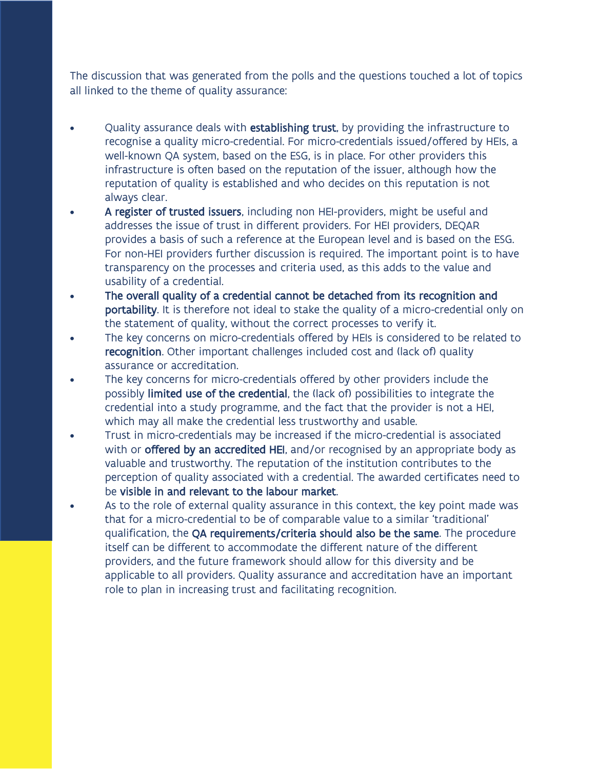The discussion that was generated from the polls and the questions touched a lot of topics all linked to the theme of quality assurance:

- Quality assurance deals with establishing trust, by providing the infrastructure to recognise a quality micro-credential. For micro-credentials issued/offered by HEIs, a well-known QA system, based on the ESG, is in place. For other providers this infrastructure is often based on the reputation of the issuer, although how the reputation of quality is established and who decides on this reputation is not always clear.
- A register of trusted issuers, including non HEI-providers, might be useful and addresses the issue of trust in different providers. For HEI providers, DEQAR provides a basis of such a reference at the European level and is based on the ESG. For non-HEI providers further discussion is required. The important point is to have transparency on the processes and criteria used, as this adds to the value and usability of a credential.
- The overall quality of a credential cannot be detached from its recognition and portability. It is therefore not ideal to stake the quality of a micro-credential only on the statement of quality, without the correct processes to verify it.
- The key concerns on micro-credentials offered by HEIs is considered to be related to recognition. Other important challenges included cost and (lack of) quality assurance or accreditation.
- The key concerns for micro-credentials offered by other providers include the possibly limited use of the credential, the (lack of) possibilities to integrate the credential into a study programme, and the fact that the provider is not a HEI, which may all make the credential less trustworthy and usable.
- Trust in micro-credentials may be increased if the micro-credential is associated with or offered by an accredited HEI, and/or recognised by an appropriate body as valuable and trustworthy. The reputation of the institution contributes to the perception of quality associated with a credential. The awarded certificates need to be visible in and relevant to the labour market.
- As to the role of external quality assurance in this context, the key point made was that for a micro-credential to be of comparable value to a similar 'traditional' qualification, the QA requirements/criteria should also be the same. The procedure itself can be different to accommodate the different nature of the different providers, and the future framework should allow for this diversity and be applicable to all providers. Quality assurance and accreditation have an important role to plan in increasing trust and facilitating recognition.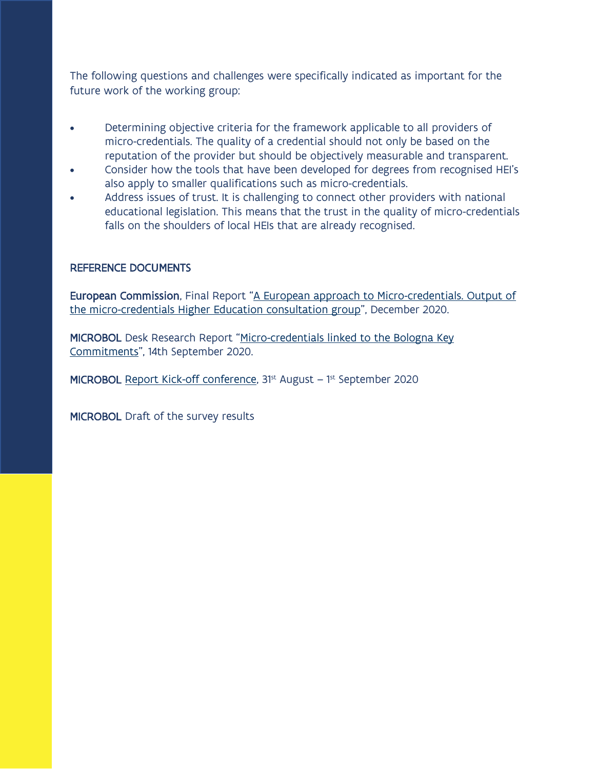The following questions and challenges were specifically indicated as important for the future work of the working group:

- Determining objective criteria for the framework applicable to all providers of micro-credentials. The quality of a credential should not only be based on the reputation of the provider but should be objectively measurable and transparent.
- Consider how the tools that have been developed for degrees from recognised HEI's also apply to smaller qualifications such as micro-credentials.
- Address issues of trust. It is challenging to connect other providers with national educational legislation. This means that the trust in the quality of micro-credentials falls on the shoulders of local HEIs that are already recognised.

#### REFERENCE DOCUMENTS

European Commission, Final Report "[A European approach to Micro-credentials. Output of](https://ec.europa.eu/education/sites/default/files/document-library-docs/european-approach-micro-credentials-higher-education-consultation-group-output-final-report.pdf)  the micro-credentials [Higher Education consultation group](https://ec.europa.eu/education/sites/default/files/document-library-docs/european-approach-micro-credentials-higher-education-consultation-group-output-final-report.pdf)", December 2020.

MICROBOL Desk Research Report "[Micro-credentials linked to the Bologna Key](https://microcredentials.eu/wp-content/uploads/sites/20/2020/09/MICROBOL-Desk-Research-Report.pdf)  [Commitments](https://microcredentials.eu/wp-content/uploads/sites/20/2020/09/MICROBOL-Desk-Research-Report.pdf)", 14th September 2020.

MICROBOL [Report Kick-off conference,](https://microcredentials.eu/wp-content/uploads/sites/20/2020/10/Microbol-kick-off-report_Final-with-annexes.pdf) 31<sup>st</sup> August – 1<sup>st</sup> September 2020

MICROBOL Draft of the survey results